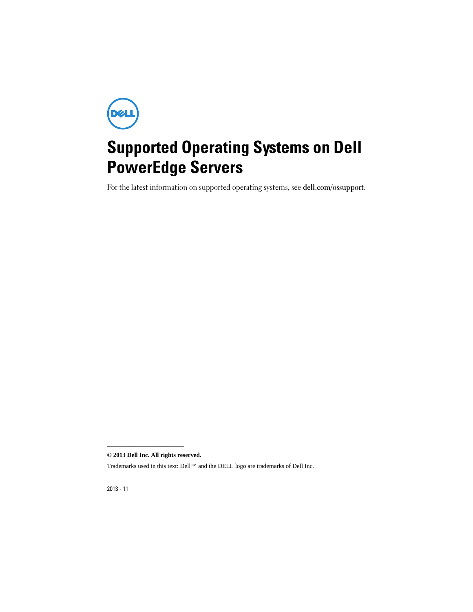

## Supported Operating Systems on Dell PowerEdge Servers

For the latest information on supported operating systems, see dell.com/ossupport.

**© 2013 Dell Inc. All rights reserved.**

\_\_\_\_\_\_\_\_\_\_\_\_\_\_\_\_\_\_\_\_

Trademarks used in this text: Dell™ and the DELL logo are trademarks of Dell Inc.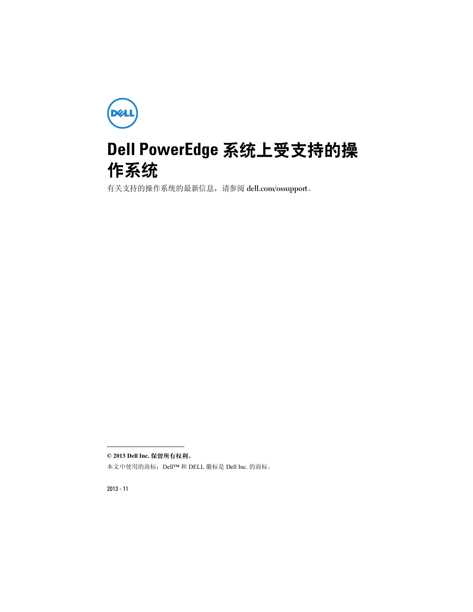

## Dell PowerEdge 系统上受支持的操 作系统

有关支持的操作系统的最新信息,请参阅 dell.com/ossupport。

\_\_\_\_\_\_\_\_\_\_\_\_\_\_\_\_\_\_\_\_ © 2013 Dell Inc. 保留所有权利。

本文中使用的商标:Dell™ 和 DELL 徽标是 Dell Inc. 的商标。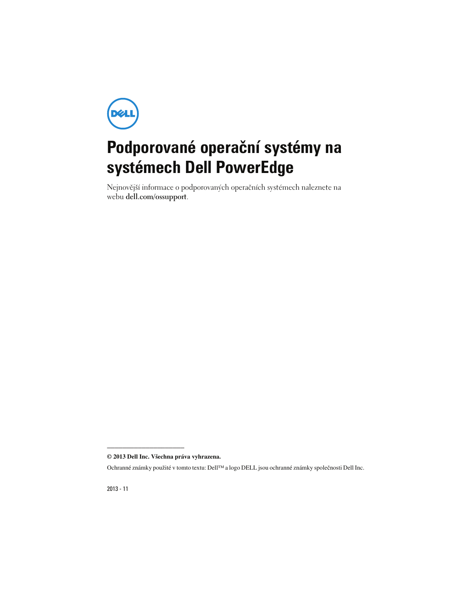

# **Podporované operační systémy na systémech Dell PowerEdge**

Nejnovější informace o podporovaných operačních systémech naleznete na webu **dell.com/ossupport**.

**<sup>© 2013</sup> Dell Inc. Všechna práva vyhrazena.**

Ochranné známky použité v tomto textu: Dell™ a logo DELL jsou ochranné známky společnosti Dell Inc.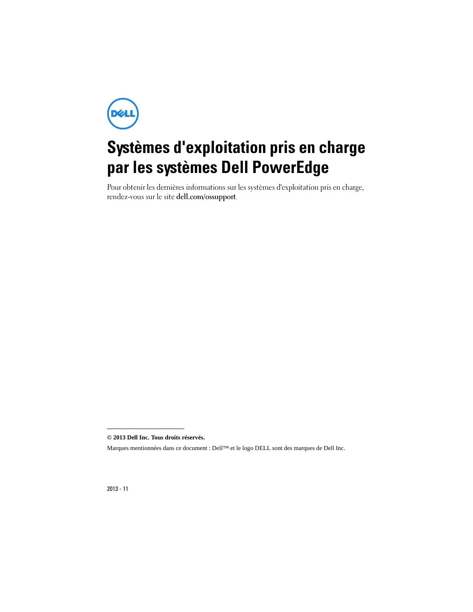**DØLI** 

# Systèmes d'exploitation pris en charge par les systèmes Dell PowerEdge

Pour obtenir les dernières informations sur les systèmes d'exploitation pris en charge, rendez-vous sur le site dell.com/ossupport.

<sup>—&</sup>lt;br>© 2013 <mark>Dell Inc. Tous droits r</mark><br>Marques mentionnées dans ce o **© 2013 Dell Inc. Tous droits réservés.**

Marques mentionnées dans ce document : Dell™ et le logo DELL sont des marques de Dell Inc.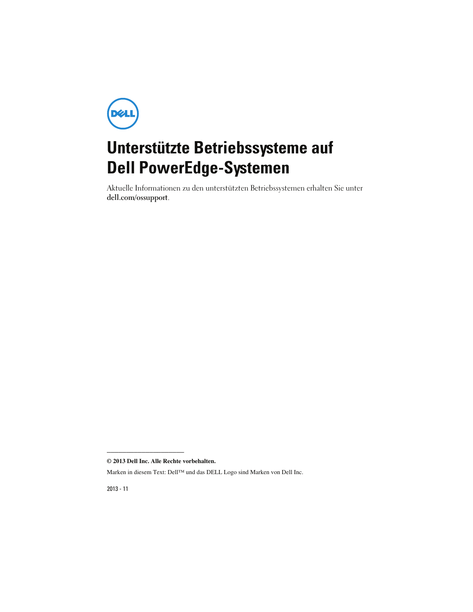

# Unterstützte Betriebssysteme auf Dell PowerEdge-Systemen

Aktuelle Informationen zu den unterstützten Betriebssystemen erhalten Sie unter dell.com/ossupport.

**<sup>© 2013</sup> Dell Inc. Alle Rechte vorbehalten.**

Marken in diesem Text: Dell™ und das DELL Logo sind Marken von Dell Inc.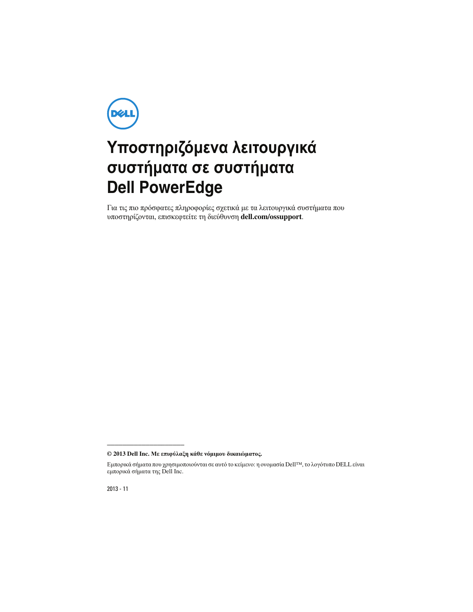

## Υποστηριζόμενα λειτουργικά συστήματα σε συστήματα **Dell PowerEdge**

Για τις πιο πρόσφατες πληροφορίες σχετικά με τα λειτουργικά συστήματα που υποστηρίζονται, επισκεφτείτε τη διεύθυνση **dell.com/ossupport**.

**© 2013 Dell Inc.** Με επιφύλαξη κάθε νόμιμου δικαιώματος**.**

2013 - 11

Εμπορικά σήματα που χρησιμοποιούνται σε αυτό το κείμενο: η ονομασία Dell™, το λογότυπο DELL είναι εμπορικά σήματα της Dell Inc.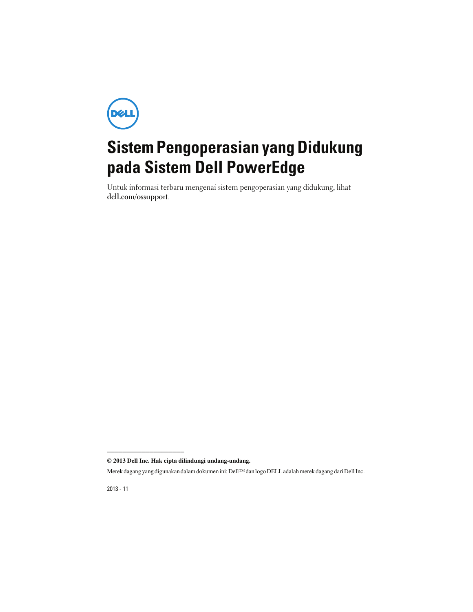

# Sistem Pengoperasian yang Didukung pada Sistem Dell PowerEdge

Untuk informasi terbaru mengenai sistem pengoperasian yang didukung, lihat dell.com/ossupport.

**© 2013 Dell Inc. Hak cipta dilindungi undang-undang.**

\_\_\_\_\_\_\_\_\_\_\_\_\_\_\_\_\_\_\_\_

Merek dagang yang digunakan dalam dokumen ini: Dell™ dan logo DELL adalah merek dagang dari Dell Inc.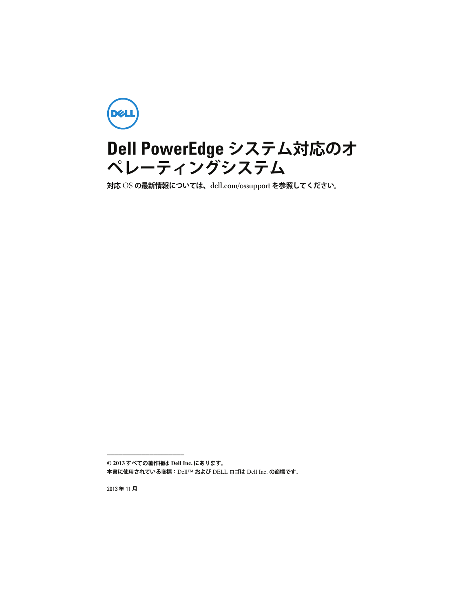

#### Dell PowerEdge システム対応のオ ペレーティングシステム

対応 OS の最新情報については、dell.com/ossupport を参照してください。

**© 2013** すべての著作権は **Dell Inc.** にあります。

\_\_\_\_\_\_\_\_\_\_\_\_\_\_\_\_\_\_\_\_

本書に使⽤されている商標:Dell™ および DELL ロゴは Dell Inc. の商標です。

2013年11月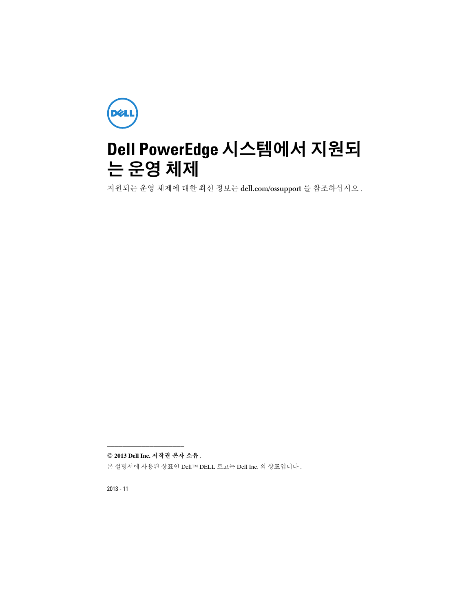

## Dell PowerEdge 시스템에서 지원되 는 운영 체제

지원되는 운영 체제에 대한 최신 정보는 dell.com/ossupport <sup>를</sup> 참조하십시오 .

*©* **2013 Dell Inc.** 저작권 본사 소유 .

\_\_\_\_\_\_\_\_\_\_\_\_\_\_\_\_\_\_\_\_

본 설명서에 사용된 상표인 Dell™ DELL 로고는 Dell Inc. 의 상표입니다 .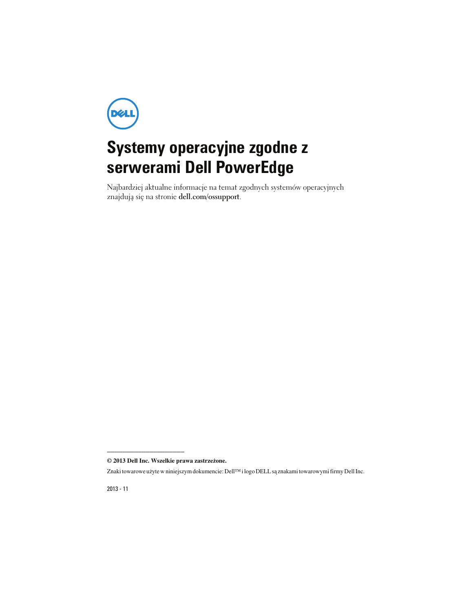

## **Systemy operacyjne zgodne z serwerami Dell PowerEdge**

Najbardziej aktualne informacje na temat zgodnych systemów operacyjnych znajdują się na stronie **dell.com/ossupport**.

**<sup>© 2013</sup> Dell Inc. Wszelkie prawa zastrze**ż**one.**

Znaki towarowe użyte w niniejszym dokumencie: Dell™ i logo DELL są znakami towarowymi firmy Dell Inc.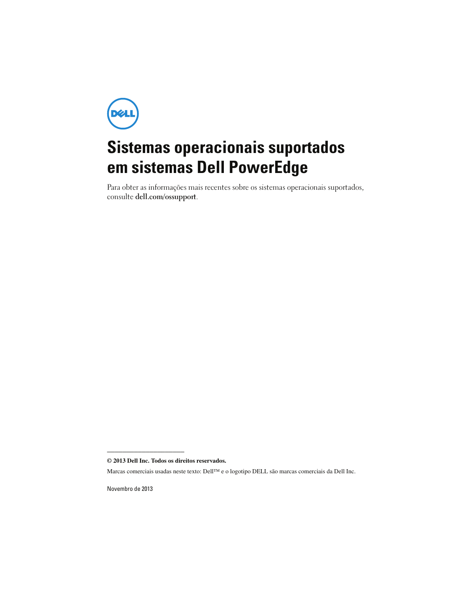

# Sistemas operacionais suportados em sistemas Dell PowerEdge

Para obter as informações mais recentes sobre os sistemas operacionais suportados, consulte dell.com/ossupport.

\_\_\_\_\_\_\_\_\_\_\_\_\_\_\_\_\_\_\_\_

Novembro de 2013

**<sup>© 2013</sup> Dell Inc. Todos os direitos reservados.**

Marcas comerciais usadas neste texto: Dell™ e o logotipo DELL são marcas comerciais da Dell Inc.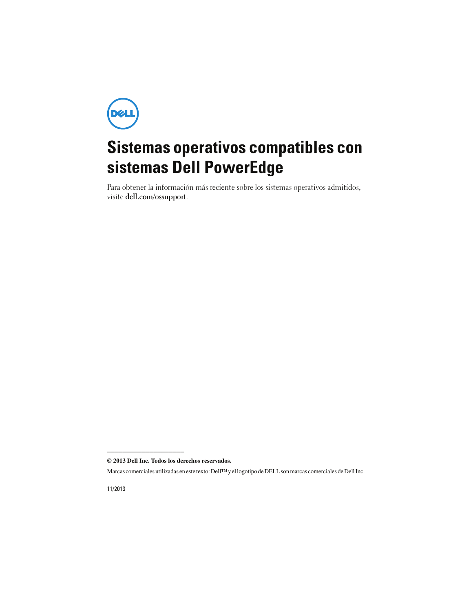

## Sistemas operativos compatibles con sistemas Dell PowerEdge

Para obtener la información más reciente sobre los sistemas operativos admitidos, visite dell.com/ossupport.

**<sup>© 2013</sup> Dell Inc. Todos los derechos reservados.**

Marcas comerciales utilizadas en este texto: Dell™ y el logotipo de DELL son marcas comerciales de Dell Inc.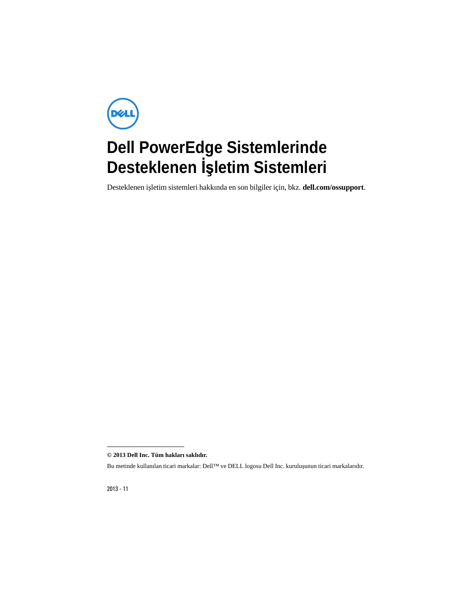

# **Dell PowerEdge Sistemlerinde Desteklenen** İş**letim Sistemleri**

Desteklenen işletim sistemleri hakkında en son bilgiler için, bkz. **dell.com/ossupport**.

—<br>© 2013 <mark>Dell Inc. Tüm hakları</mark><br>Bu metinde kullanılan ticari ma **© 2013 Dell Inc. Tüm hakları saklıdır.**

Bu metinde kullanılan ticari markalar: Dell™ ve DELL logosu Dell Inc. kuruluşunun ticari markalarıdır.